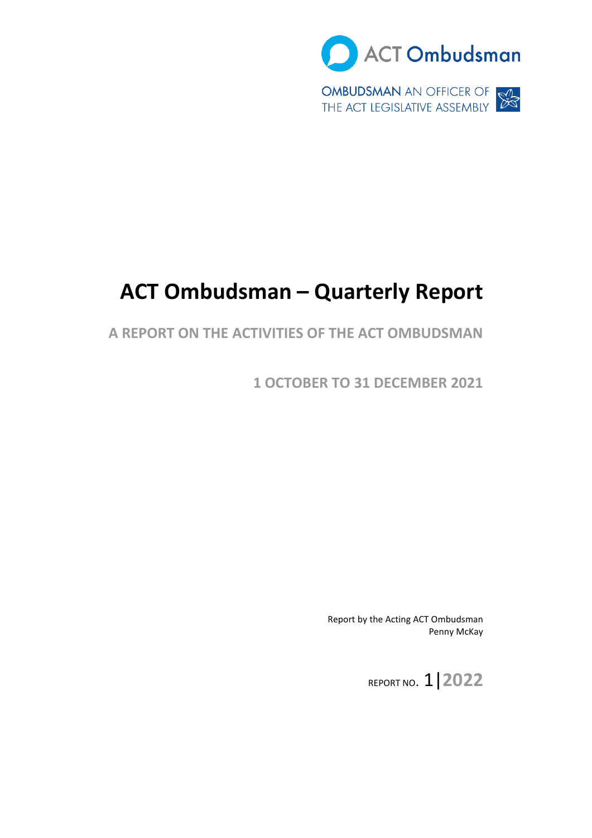

# **ACT Ombudsman – Quarterly Report**

### **A REPORT ON THE ACTIVITIES OF THE ACT OMBUDSMAN**

**1 OCTOBER TO 31 DECEMBER 2021** 

Report by the Acting ACT Ombudsman Penny McKay

REPORT NO. 1|**2022**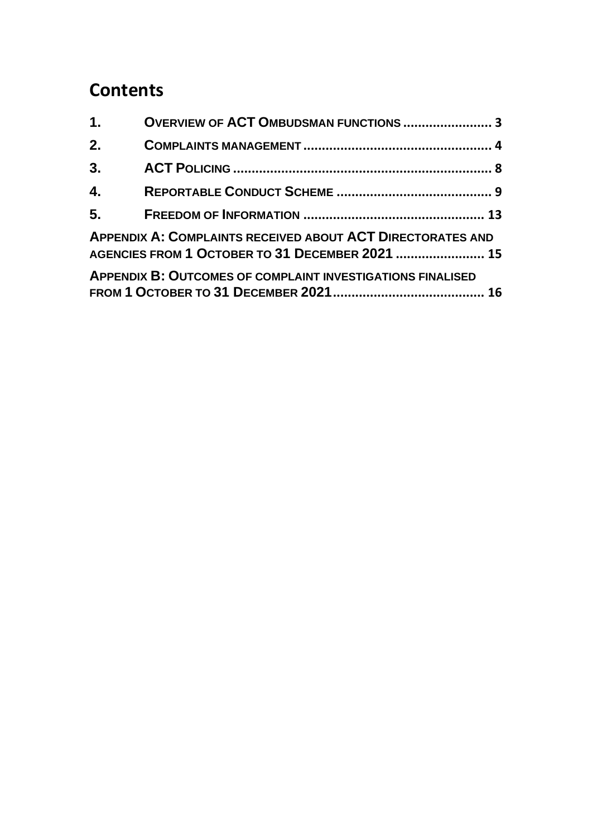### **Contents**

| 1.               | <b>OVERVIEW OF ACT OMBUDSMAN FUNCTIONS  3</b>                                                                 |  |
|------------------|---------------------------------------------------------------------------------------------------------------|--|
| 2.               |                                                                                                               |  |
| 3.               |                                                                                                               |  |
| $\overline{4}$ . |                                                                                                               |  |
|                  |                                                                                                               |  |
|                  | APPENDIX A: COMPLAINTS RECEIVED ABOUT ACT DIRECTORATES AND<br>AGENCIES FROM 1 OCTOBER TO 31 DECEMBER 2021  15 |  |
|                  | <b>APPENDIX B: OUTCOMES OF COMPLAINT INVESTIGATIONS FINALISED</b>                                             |  |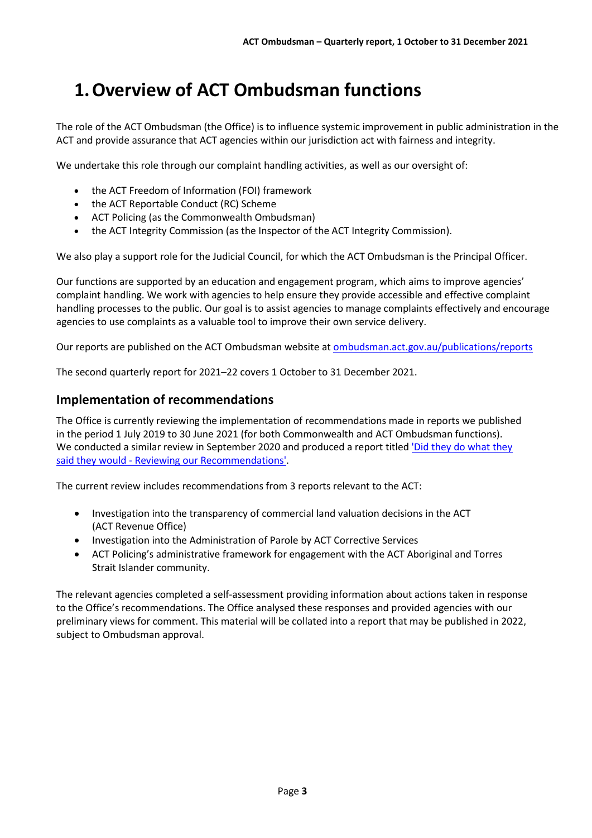### <span id="page-2-0"></span>**1. Overview of ACT Ombudsman functions**

The role of the ACT Ombudsman (the Office) is to influence systemic improvement in public administration in the ACT and provide assurance that ACT agencies within our jurisdiction act with fairness and integrity.

We undertake this role through our complaint handling activities, as well as our oversight of:

- the ACT Freedom of Information (FOI) framework
- the ACT Reportable Conduct (RC) Scheme
- ACT Policing (as the Commonwealth Ombudsman)
- the ACT Integrity Commission (as the Inspector of the ACT Integrity Commission).

We also play a support role for the Judicial Council, for which the ACT Ombudsman is the Principal Officer.

Our functions are supported by an education and engagement program, which aims to improve agencies' complaint handling. We work with agencies to help ensure they provide accessible and effective complaint handling processes to the public. Our goal is to assist agencies to manage complaints effectively and encourage agencies to use complaints as a valuable tool to improve their own service delivery.

Our reports are published on the ACT Ombudsman website at [ombudsman.act.gov.au/publications/reports](https://www.ombudsman.act.gov.au/publications/reports) 

The second quarterly report for 2021–22 covers 1 October to 31 December 2021.

#### **Implementation of recommendations**

We conducted a similar review in September 2020 and produced a report titled *'Did they do what they* The Office is currently reviewing the implementation of recommendations made in reports we published in the period 1 July 2019 to 30 June 2021 (for both Commonwealth and ACT Ombudsman functions). said they would - [Reviewing our Recommendations'.](https://www.ombudsman.gov.au/__data/assets/pdf_file/0013/111460/Did-they-do-what-they-said-they-would-report.pdf) 

The current review includes recommendations from 3 reports relevant to the ACT:

- [Investigation into the transparency of commercial land valuation decisions in the ACT](https://www.ombudsman.act.gov.au/__data/assets/pdf_file/0018/111384/Investigation-into-the-transparency-of-commercial-land-valuation-decisions-in-the-ACT.pdf)  (ACT Revenue Office)
- [Investigation into the Administration of Parole by ACT Corrective Services](https://www.ombudsman.act.gov.au/__data/assets/pdf_file/0014/112073/ACTCS-administration-of-parole-processes.pdf)
- [ACT Policing's administrative framework for engagement with the ACT Aboriginal and Torres](https://www.ombudsman.act.gov.au/__data/assets/pdf_file/0010/112411/Attachment-A-FINAL-Report-Vol-1-ACT-Policing-OMI-accessible-A2147380.pdf)  [Strait Islander community.](https://www.ombudsman.act.gov.au/__data/assets/pdf_file/0010/112411/Attachment-A-FINAL-Report-Vol-1-ACT-Policing-OMI-accessible-A2147380.pdf)

 to the Office's recommendations. The Office analysed these responses and provided agencies with our The relevant agencies completed a self-assessment providing information about actions taken in response preliminary views for comment. This material will be collated into a report that may be published in 2022, subject to Ombudsman approval.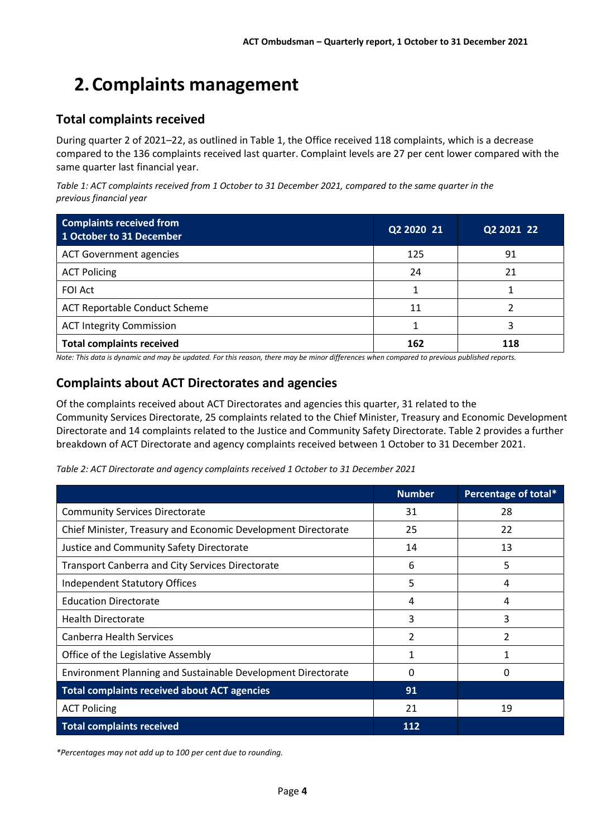## <span id="page-3-0"></span>**2. Complaints management**

### **Total complaints received**

 compared to the 136 complaints received last quarter. Complaint levels are 27 per cent lower compared with the During quarter 2 of 2021–22, as outlined i[n Table 1,](#page-3-1) the Office received 118 complaints, which is a decrease same quarter last financial year.

<span id="page-3-1"></span>*Table 1: ACT complaints received from 1 October to 31 December 2021, compared to the same quarter in the previous financial year* 

| <b>Complaints received from</b><br>1 October to 31 December | Q2 2020 21 | Q2 2021 22 |
|-------------------------------------------------------------|------------|------------|
| <b>ACT Government agencies</b>                              | 125        | 91         |
| <b>ACT Policing</b>                                         | 24         | 21         |
| <b>FOI Act</b>                                              |            |            |
| <b>ACT Reportable Conduct Scheme</b>                        | 11         |            |
| <b>ACT Integrity Commission</b>                             |            | 3          |
| <b>Total complaints received</b>                            | 162        | 118        |

*Note: This data is dynamic and may be updated. For this reason, there may be minor differences when compared to previous published reports.* 

### **Complaints about ACT Directorates and agencies**

 Of the complaints received about ACT Directorates and agencies this quarter, 31 related to the Community Services Directorate, 25 complaints related to the Chief Minister, Treasury and Economic Development Directorate and 14 complaints related to the Justice and Community Safety Directorate. [Table 2](#page-3-2) provides a further breakdown of ACT Directorate and agency complaints received between 1 October to 31 December 2021.

<span id="page-3-2"></span>

| Table 2: ACT Directorate and agency complaints received 1 October to 31 December 2021 |  |
|---------------------------------------------------------------------------------------|--|
|---------------------------------------------------------------------------------------|--|

|                                                               | <b>Number</b> | Percentage of total* |
|---------------------------------------------------------------|---------------|----------------------|
| <b>Community Services Directorate</b>                         | 31            | 28                   |
| Chief Minister, Treasury and Economic Development Directorate | 25            | 22                   |
| Justice and Community Safety Directorate                      | 14            | 13                   |
| <b>Transport Canberra and City Services Directorate</b>       | 6             | 5                    |
| Independent Statutory Offices                                 | 5             | 4                    |
| <b>Education Directorate</b>                                  | 4             | 4                    |
| <b>Health Directorate</b>                                     | 3             | 3                    |
| <b>Canberra Health Services</b>                               | 2             | 2                    |
| Office of the Legislative Assembly                            | 1             |                      |
| Environment Planning and Sustainable Development Directorate  | 0             | 0                    |
| <b>Total complaints received about ACT agencies</b>           | 91            |                      |
| <b>ACT Policing</b>                                           | 21            | 19                   |
| <b>Total complaints received</b>                              | 112           |                      |

 *\*Percentages may not add up to 100 per cent due to rounding.*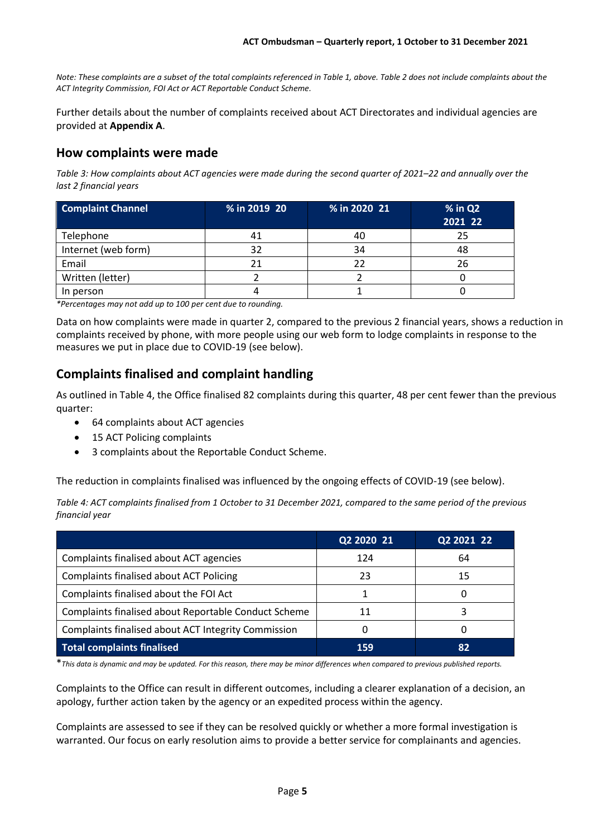*Note: These complaints are a subset of the total complaints referenced in Table 1, above. Table 2 does not include complaints about the ACT Integrity Commission, FOI Act or ACT Reportable Conduct Scheme.* 

Further details about the number of complaints received about ACT Directorates and individual agencies are provided at **Appendix A**.

#### **How complaints were made**

*Table 3: How complaints about ACT agencies were made during the second quarter of 2021–22 and annually over the last 2 financial years* 

| <b>Complaint Channel</b> | % in 2019 20 | % in 2020 21 | $%$ in Q2<br>2021 22 |
|--------------------------|--------------|--------------|----------------------|
| Telephone                | 41           | 40           | 25                   |
| Internet (web form)      | 32           | 34           | 48                   |
| Email                    | 21           |              | 26                   |
| Written (letter)         |              |              |                      |
| In person                |              |              |                      |

 *\*Percentages may not add up to 100 per cent due to rounding.* 

Data on how complaints were made in quarter 2, compared to the previous 2 financial years, shows a reduction in complaints received by phone, with more people using our web form to lodge complaints in response to the measures we put in place due to COVID-19 (see below).

### **Complaints finalised and complaint handling**

As outlined i[n Table 4,](#page-4-0) the Office finalised 82 complaints during this quarter, 48 per cent fewer than the previous quarter:

- 64 complaints about ACT agencies
- 15 ACT Policing complaints
- 3 complaints about the Reportable Conduct Scheme.

The reduction in complaints finalised was influenced by the ongoing effects of COVID-19 (see below).

<span id="page-4-0"></span>*Table 4: ACT complaints finalised from 1 October to 31 December 2021, compared to the same period of the previous financial year* 

|                                                      | Q2 2020 21 | Q2 2021 22 |
|------------------------------------------------------|------------|------------|
| Complaints finalised about ACT agencies              | 124        | 64         |
| <b>Complaints finalised about ACT Policing</b>       | 23         | 15         |
| Complaints finalised about the FOI Act               |            | O          |
| Complaints finalised about Reportable Conduct Scheme | 11         |            |
| Complaints finalised about ACT Integrity Commission  |            | O          |
| <b>Total complaints finalised</b>                    | 159        | 82         |

\**This data is dynamic and may be updated. For this reason, there may be minor differences when compared to previous published reports.* 

Complaints to the Office can result in different outcomes, including a clearer explanation of a decision, an apology, further action taken by the agency or an expedited process within the agency.

Complaints are assessed to see if they can be resolved quickly or whether a more formal investigation is warranted. Our focus on early resolution aims to provide a better service for complainants and agencies.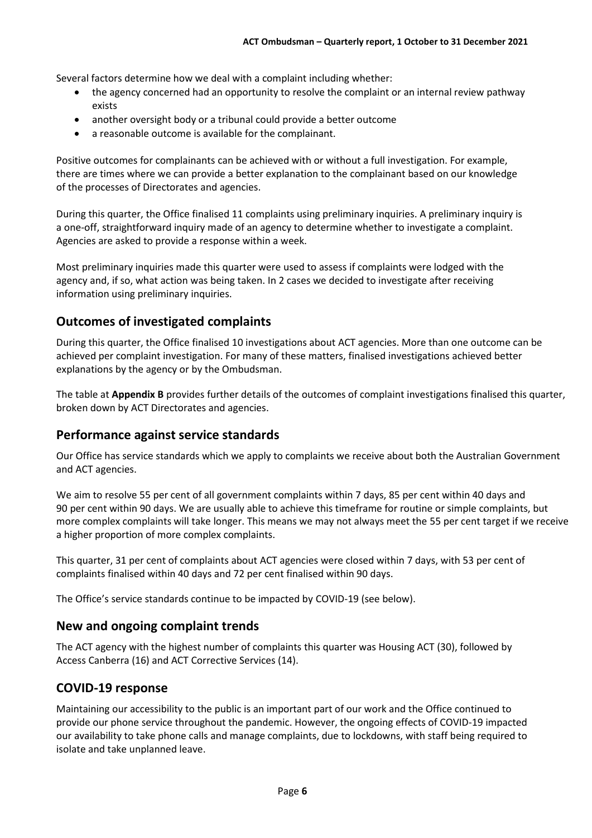Several factors determine how we deal with a complaint including whether:

- the agency concerned had an opportunity to resolve the complaint or an internal review pathway exists
- another oversight body or a tribunal could provide a better outcome
- a reasonable outcome is available for the complainant.

Positive outcomes for complainants can be achieved with or without a full investigation. For example, there are times where we can provide a better explanation to the complainant based on our knowledge of the processes of Directorates and agencies.

During this quarter, the Office finalised 11 complaints using preliminary inquiries. A preliminary inquiry is a one-off, straightforward inquiry made of an agency to determine whether to investigate a complaint. Agencies are asked to provide a response within a week.

Most preliminary inquiries made this quarter were used to assess if complaints were lodged with the agency and, if so, what action was being taken. In 2 cases we decided to investigate after receiving information using preliminary inquiries.

### **Outcomes of investigated complaints**

During this quarter, the Office finalised 10 investigations about ACT agencies. More than one outcome can be achieved per complaint investigation. For many of these matters, finalised investigations achieved better explanations by the agency or by the Ombudsman.

The table at **Appendix B** provides further details of the outcomes of complaint investigations finalised this quarter, broken down by ACT Directorates and agencies.

### **Performance against service standards**

Our Office has service standards which we apply to complaints we receive about both the Australian Government and ACT agencies.

We aim to resolve 55 per cent of all government complaints within 7 days, 85 per cent within 40 days and 90 per cent within 90 days. We are usually able to achieve this timeframe for routine or simple complaints, but more complex complaints will take longer. This means we may not always meet the 55 per cent target if we receive a higher proportion of more complex complaints.

This quarter, 31 per cent of complaints about ACT agencies were closed within 7 days, with 53 per cent of complaints finalised within 40 days and 72 per cent finalised within 90 days.

The Office's service standards continue to be impacted by COVID-19 (see below).

### **New and ongoing complaint trends**

The ACT agency with the highest number of complaints this quarter was Housing ACT (30), followed by Access Canberra (16) and ACT Corrective Services (14).

#### **COVID-19 response**

Maintaining our accessibility to the public is an important part of our work and the Office continued to provide our phone service throughout the pandemic. However, the ongoing effects of COVID-19 impacted our availability to take phone calls and manage complaints, due to lockdowns, with staff being required to isolate and take unplanned leave.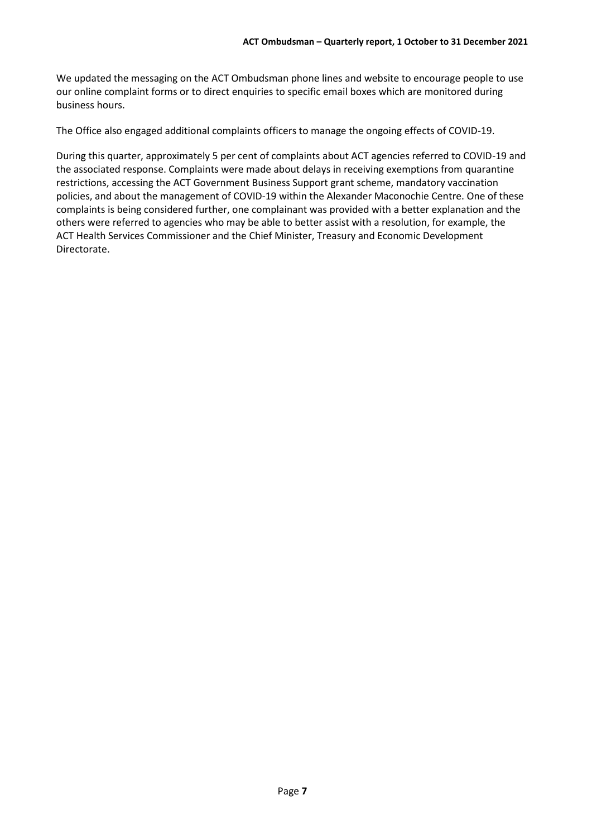our online complaint forms or to direct enquiries to specific email boxes which are monitored during We updated the messaging on the ACT Ombudsman phone lines and website to encourage people to use business hours.

The Office also engaged additional complaints officers to manage the ongoing effects of COVID-19.

During this quarter, approximately 5 per cent of complaints about ACT agencies referred to COVID-19 and the associated response. Complaints were made about delays in receiving exemptions from quarantine restrictions, accessing the ACT Government Business Support grant scheme, mandatory vaccination policies, and about the management of COVID-19 within the Alexander Maconochie Centre. One of these complaints is being considered further, one complainant was provided with a better explanation and the others were referred to agencies who may be able to better assist with a resolution, for example, the ACT Health Services Commissioner and the Chief Minister, Treasury and Economic Development Directorate.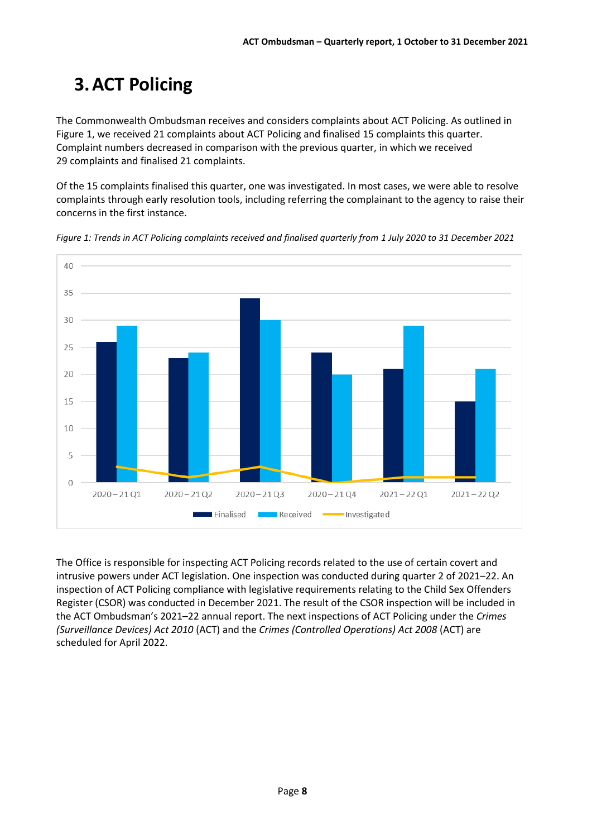## <span id="page-7-0"></span>**3. ACT Policing**

 Complaint numbers decreased in comparison with the previous quarter, in which we received The Commonwealth Ombudsman receives and considers complaints about ACT Policing. As outlined in [Figure 1,](#page-7-1) we received 21 complaints about ACT Policing and finalised 15 complaints this quarter. 29 complaints and finalised 21 complaints.

Of the 15 complaints finalised this quarter, one was investigated. In most cases, we were able to resolve complaints through early resolution tools, including referring the complainant to the agency to raise their concerns in the first instance.



<span id="page-7-1"></span>*Figure 1: Trends in ACT Policing complaints received and finalised quarterly from 1 July 2020 to 31 December 2021* 

 inspection of ACT Policing compliance with legislative requirements relating to the Child Sex Offenders The Office is responsible for inspecting ACT Policing records related to the use of certain covert and intrusive powers under ACT legislation. One inspection was conducted during quarter 2 of 2021–22. An Register (CSOR) was conducted in December 2021. The result of the CSOR inspection will be included in the ACT Ombudsman's 2021–22 annual report. The next inspections of ACT Policing under the *Crimes (Surveillance Devices) Act 2010* (ACT) and the *Crimes (Controlled Operations) Act 2008* (ACT) are scheduled for April 2022.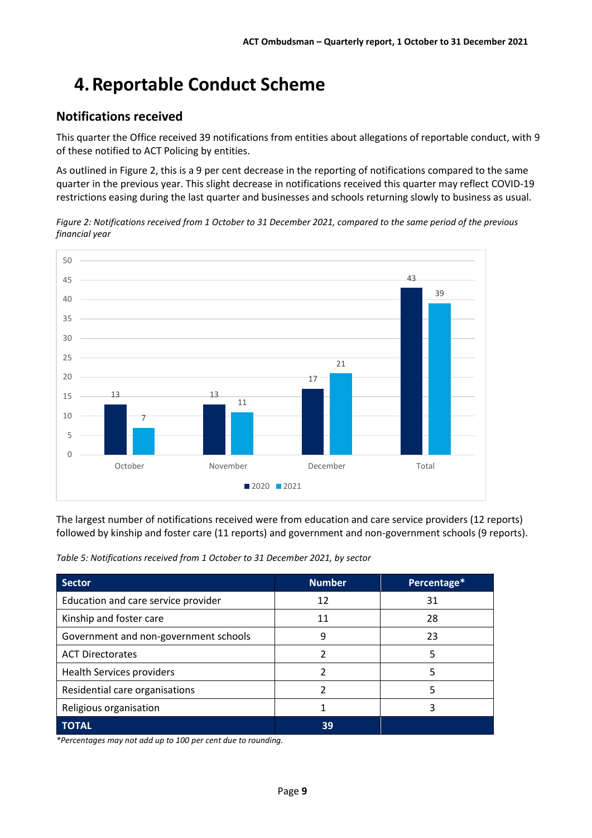## <span id="page-8-0"></span>**4. Reportable Conduct Scheme**

### **Notifications received**

This quarter the Office received 39 notifications from entities about allegations of reportable conduct, with 9 of these notified to ACT Policing by entities.

As outlined i[n Figure 2,](#page-8-1) this is a 9 per cent decrease in the reporting of notifications compared to the same quarter in the previous year. This slight decrease in notifications received this quarter may reflect COVID-19 restrictions easing during the last quarter and businesses and schools returning slowly to business as usual.

<span id="page-8-1"></span>*Figure 2: Notifications received from 1 October to 31 December 2021, compared to the same period of the previous financial year* 



The largest number of notifications received were from education and care service providers (12 reports) followed by kinship and foster care (11 reports) and government and non-government schools (9 reports).

*Table 5: Notifications received from 1 October to 31 December 2021, by sector* 

| <b>Sector</b>                         | <b>Number</b> | Percentage* |
|---------------------------------------|---------------|-------------|
| Education and care service provider   | 12            | 31          |
| Kinship and foster care               | 11            | 28          |
| Government and non-government schools | 9             | 23          |
| <b>ACT Directorates</b>               | 2             | 5           |
| <b>Health Services providers</b>      | າ             | 5           |
| Residential care organisations        |               |             |
| Religious organisation                |               |             |
| <b>TOTAL</b>                          | 39            |             |

 *\*Percentages may not add up to 100 per cent due to rounding.*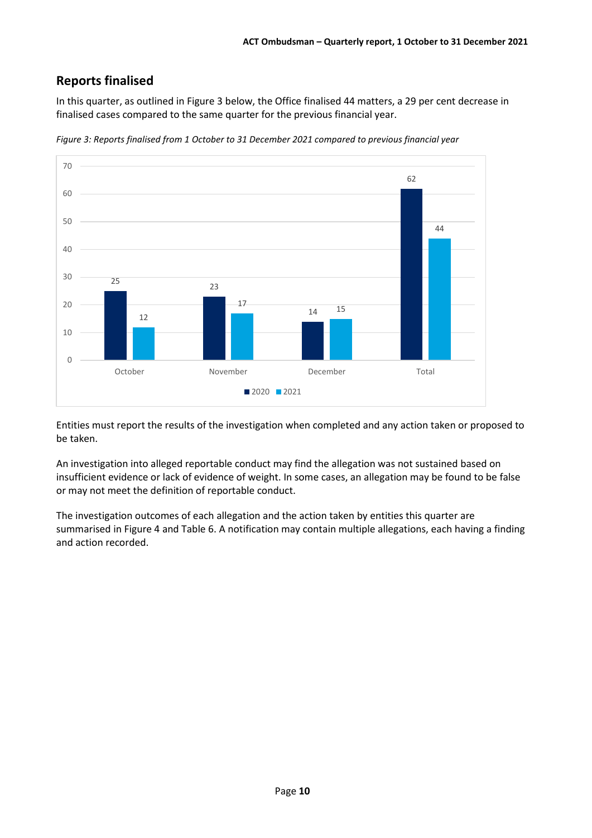### **Reports finalised**

In this quarter, as outlined in [Figure 3](#page-9-0) below, the Office finalised 44 matters, a 29 per cent decrease in finalised cases compared to the same quarter for the previous financial year.



<span id="page-9-0"></span>*Figure 3: Reports finalised from 1 October to 31 December 2021 compared to previous financial year* 

Entities must report the results of the investigation when completed and any action taken or proposed to be taken.

An investigation into alleged reportable conduct may find the allegation was not sustained based on insufficient evidence or lack of evidence of weight. In some cases, an allegation may be found to be false or may not meet the definition of reportable conduct.

 summarised in [Figure 4](#page-10-0) an[d Table 6.](#page-10-1) A notification may contain multiple allegations, each having a finding The investigation outcomes of each allegation and the action taken by entities this quarter are and action recorded.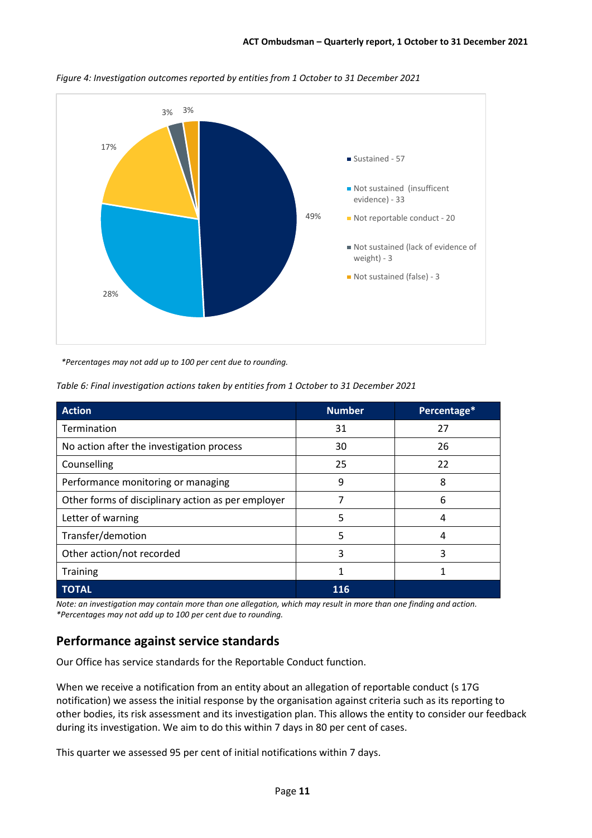

<span id="page-10-0"></span>*Figure 4: Investigation outcomes reported by entities from 1 October to 31 December 2021* 

*\*Percentages may not add up to 100 per cent due to rounding.* 

<span id="page-10-1"></span>*Table 6: Final investigation actions taken by entities from 1 October to 31 December 2021* 

| <b>Action</b>                                      | <b>Number</b> | Percentage* |
|----------------------------------------------------|---------------|-------------|
| Termination                                        | 31            | 27          |
| No action after the investigation process          | 30            | 26          |
| Counselling                                        | 25            | 22          |
| Performance monitoring or managing                 | 9             | 8           |
| Other forms of disciplinary action as per employer |               | 6           |
| Letter of warning                                  | 5             | 4           |
| Transfer/demotion                                  | 5             | 4           |
| Other action/not recorded                          | 3             | 3           |
| <b>Training</b>                                    |               |             |
| <b>TOTAL</b>                                       | 116           |             |

Note: an investigation may contain more than one allegation, which may result in more than one finding and action.  *\*Percentages may not add up to 100 per cent due to rounding.* 

#### **Performance against service standards**

Our Office has service standards for the Reportable Conduct function.

When we receive a notification from an entity about an allegation of reportable conduct (s 17G notification) we assess the initial response by the organisation against criteria such as its reporting to other bodies, its risk assessment and its investigation plan. This allows the entity to consider our feedback during its investigation. We aim to do this within 7 days in 80 per cent of cases.

This quarter we assessed 95 per cent of initial notifications within 7 days.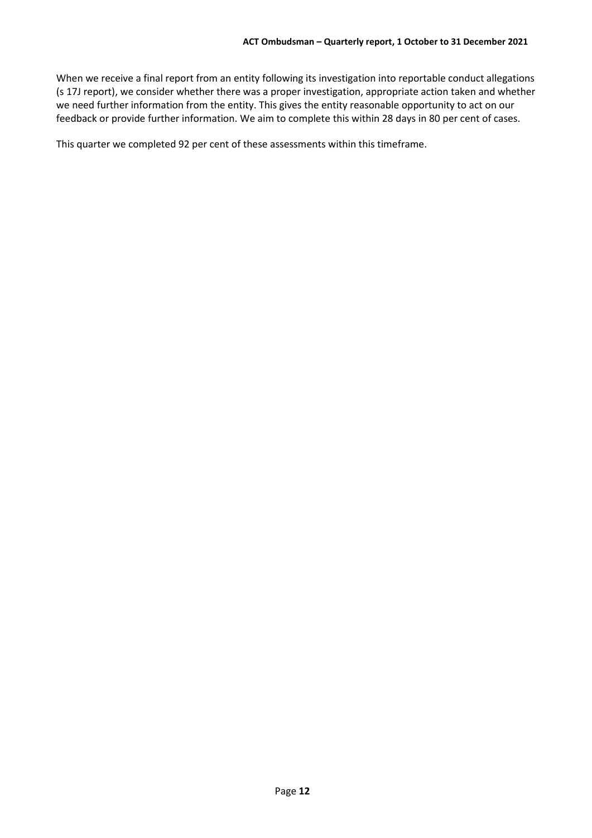When we receive a final report from an entity following its investigation into reportable conduct allegations (s 17J report), we consider whether there was a proper investigation, appropriate action taken and whether we need further information from the entity. This gives the entity reasonable opportunity to act on our feedback or provide further information. We aim to complete this within 28 days in 80 per cent of cases.

This quarter we completed 92 per cent of these assessments within this timeframe.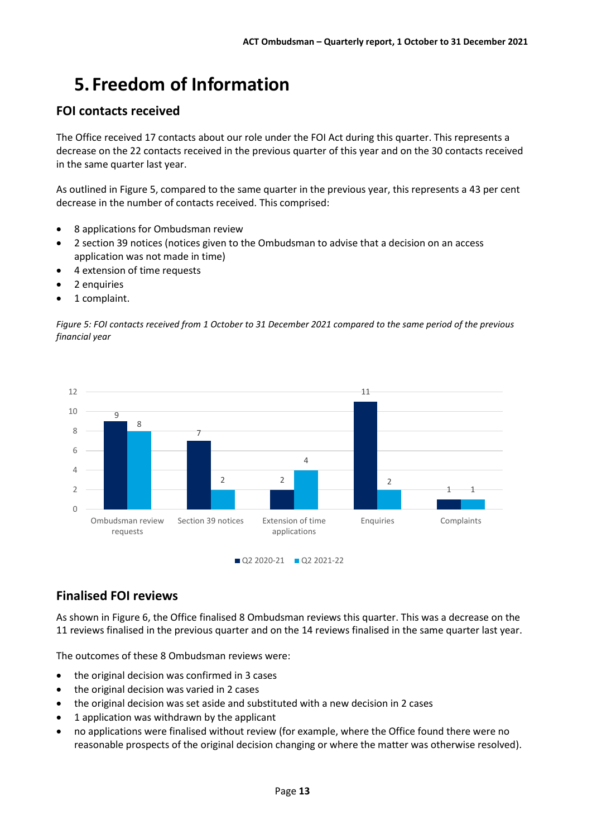## <span id="page-12-0"></span>**5. Freedom of Information**

### **FOI contacts received**

The Office received 17 contacts about our role under the FOI Act during this quarter. This represents a decrease on the 22 contacts received in the previous quarter of this year and on the 30 contacts received in the same quarter last year.

 As outlined i[n Figure 5,](#page-12-1) compared to the same quarter in the previous year, this represents a 43 per cent decrease in the number of contacts received. This comprised:

- 8 applications for Ombudsman review
- 2 section 39 notices (notices given to the Ombudsman to advise that a decision on an access application was not made in time)
- 4 extension of time requests
- 2 enquiries
- 1 complaint.

<span id="page-12-1"></span>*Figure 5: FOI contacts received from 1 October to 31 December 2021 compared to the same period of the previous financial year* 



### **Finalised FOI reviews**

As shown in [Figure 6,](#page-13-0) the Office finalised 8 Ombudsman reviews this quarter. This was a decrease on the 11 reviews finalised in the previous quarter and on the 14 reviews finalised in the same quarter last year.

The outcomes of these 8 Ombudsman reviews were:

- the original decision was confirmed in 3 cases
- the original decision was varied in 2 cases
- the original decision was set aside and substituted with a new decision in 2 cases
- 1 application was withdrawn by the applicant
- no applications were finalised without review (for example, where the Office found there were no reasonable prospects of the original decision changing or where the matter was otherwise resolved).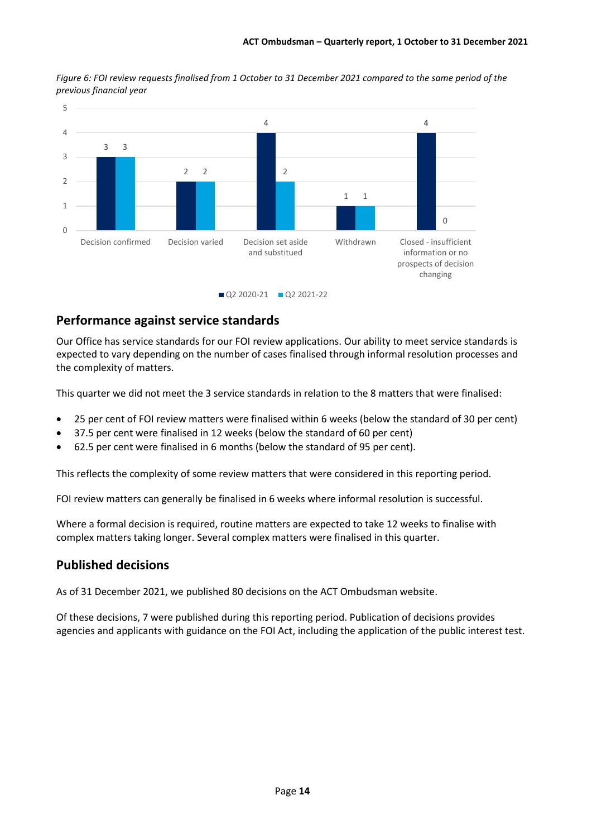

<span id="page-13-0"></span>*Figure 6: FOI review requests finalised from 1 October to 31 December 2021 compared to the same period of the previous financial year* 

#### **Performance against service standards**

Our Office has service standards for our FOI review applications. Our ability to meet service standards is expected to vary depending on the number of cases finalised through informal resolution processes and the complexity of matters.

This quarter we did not meet the 3 service standards in relation to the 8 matters that were finalised:

- 25 per cent of FOI review matters were finalised within 6 weeks (below the standard of 30 per cent)
- 37.5 per cent were finalised in 12 weeks (below the standard of 60 per cent)
- 62.5 per cent were finalised in 6 months (below the standard of 95 per cent).

This reflects the complexity of some review matters that were considered in this reporting period.

FOI review matters can generally be finalised in 6 weeks where informal resolution is successful.

Where a formal decision is required, routine matters are expected to take 12 weeks to finalise with complex matters taking longer. Several complex matters were finalised in this quarter.

### **Published decisions**

As of 31 December 2021, we published 80 decisions on the ACT Ombudsman website.

 agencies and applicants with guidance on the FOI Act, including the application of the public interest test. Of these decisions, 7 were published during this reporting period. Publication of decisions provides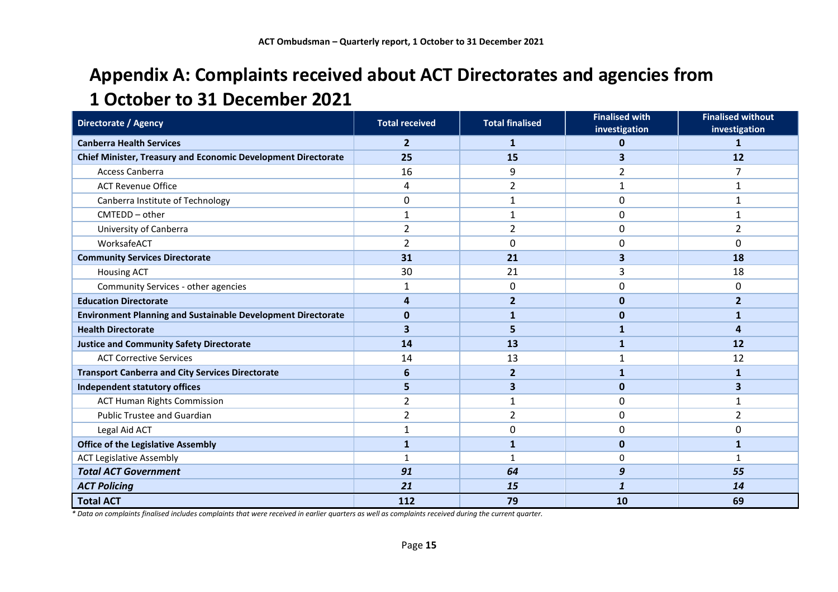### **Appendix A: Complaints received about ACT Directorates and agencies from 1 October to 31 December 2021**

<span id="page-14-0"></span>

| Directorate / Agency                                                 | <b>Total received</b> | <b>Total finalised</b> | <b>Finalised with</b><br>investigation | <b>Finalised without</b><br>investigation |
|----------------------------------------------------------------------|-----------------------|------------------------|----------------------------------------|-------------------------------------------|
| <b>Canberra Health Services</b>                                      | $\overline{2}$        | $\mathbf{1}$           | 0                                      | 1                                         |
| <b>Chief Minister, Treasury and Economic Development Directorate</b> | 25                    | 15                     | 3                                      | 12                                        |
| <b>Access Canberra</b>                                               | 16                    | 9                      | 2                                      | 7                                         |
| <b>ACT Revenue Office</b>                                            | 4                     | $\overline{2}$         | 1                                      | 1                                         |
| Canberra Institute of Technology                                     | 0                     | 1                      | 0                                      | $\mathbf{1}$                              |
| $CMTEDD - other$                                                     | 1                     | 1                      | $\mathbf{0}$                           | 1                                         |
| University of Canberra                                               | $\overline{2}$        | $\overline{2}$         | 0                                      | $\overline{2}$                            |
| WorksafeACT                                                          | $\overline{2}$        | 0                      | $\mathbf{0}$                           | 0                                         |
| <b>Community Services Directorate</b>                                | 31                    | 21                     | 3                                      | 18                                        |
| <b>Housing ACT</b>                                                   | 30                    | 21                     | 3                                      | 18                                        |
| Community Services - other agencies                                  | 1                     | 0                      | 0                                      | 0                                         |
| <b>Education Directorate</b>                                         | 4                     | $\overline{2}$         | 0                                      | $\overline{2}$                            |
| <b>Environment Planning and Sustainable Development Directorate</b>  | $\bf{0}$              |                        | $\Omega$                               | 1                                         |
| <b>Health Directorate</b>                                            | 3                     | 5                      | 1                                      | 4                                         |
| <b>Justice and Community Safety Directorate</b>                      | 14                    | 13                     | 1                                      | 12                                        |
| <b>ACT Corrective Services</b>                                       | 14                    | 13                     | 1                                      | 12                                        |
| <b>Transport Canberra and City Services Directorate</b>              | 6                     | $\overline{2}$         | 1                                      | 1                                         |
| Independent statutory offices                                        | 5                     | 3                      | $\mathbf 0$                            | 3                                         |
| <b>ACT Human Rights Commission</b>                                   | 2                     | $\mathbf{1}$           | $\mathbf{0}$                           | $\mathbf{1}$                              |
| <b>Public Trustee and Guardian</b>                                   | $\overline{2}$        | 2                      | 0                                      | 2                                         |
| Legal Aid ACT                                                        | 1                     | 0                      | 0                                      | 0                                         |
| <b>Office of the Legislative Assembly</b>                            | $\mathbf{1}$          | $\mathbf{1}$           | $\mathbf{0}$                           | 1                                         |
| <b>ACT Legislative Assembly</b>                                      | 1                     | $\mathbf{1}$           | 0                                      | -1                                        |
| <b>Total ACT Government</b>                                          | 91                    | 64                     | 9                                      | 55                                        |
| <b>ACT Policing</b>                                                  | 21                    | 15                     | 1                                      | 14                                        |
| <b>Total ACT</b>                                                     | 112                   | 79                     | 10                                     | 69                                        |

*\* Data on complaints finalised includes complaints that were received in earlier quarters as well as complaints received during the current quarter.*